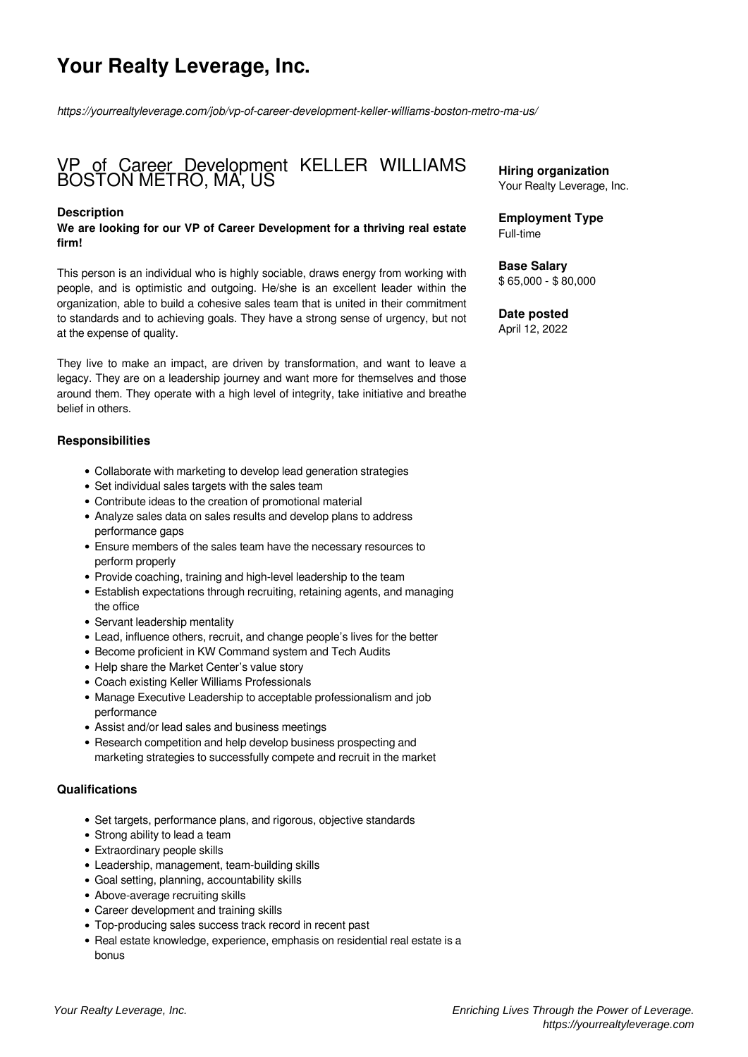# **Your Realty Leverage, Inc.**

*https://yourrealtyleverage.com/job/vp-of-career-development-keller-williams-boston-metro-ma-us/*

# VP of Career Development KELLER WILLIAMS BOSTON METRO, MA, US

#### **Description**

**We are looking for our VP of Career Development for a thriving real estate firm!**

This person is an individual who is highly sociable, draws energy from working with people, and is optimistic and outgoing. He/she is an excellent leader within the organization, able to build a cohesive sales team that is united in their commitment to standards and to achieving goals. They have a strong sense of urgency, but not at the expense of quality.

They live to make an impact, are driven by transformation, and want to leave a legacy. They are on a leadership journey and want more for themselves and those around them. They operate with a high level of integrity, take initiative and breathe belief in others.

#### **Responsibilities**

- Collaborate with marketing to develop lead generation strategies
- Set individual sales targets with the sales team
- Contribute ideas to the creation of promotional material
- Analyze sales data on sales results and develop plans to address performance gaps
- Ensure members of the sales team have the necessary resources to perform properly
- Provide coaching, training and high-level leadership to the team
- Establish expectations through recruiting, retaining agents, and managing the office
- Servant leadership mentality
- Lead, influence others, recruit, and change people's lives for the better
- Become proficient in KW Command system and Tech Audits
- Help share the Market Center's value story
- Coach existing Keller Williams Professionals
- Manage Executive Leadership to acceptable professionalism and job performance
- Assist and/or lead sales and business meetings
- Research competition and help develop business prospecting and marketing strategies to successfully compete and recruit in the market

### **Qualifications**

- Set targets, performance plans, and rigorous, objective standards
- Strong ability to lead a team
- Extraordinary people skills
- Leadership, management, team-building skills
- Goal setting, planning, accountability skills
- Above-average recruiting skills
- Career development and training skills
- Top-producing sales success track record in recent past
- Real estate knowledge, experience, emphasis on residential real estate is a bonus

**Hiring organization** Your Realty Leverage, Inc.

**Employment Type** Full-time

**Base Salary** \$ 65,000 - \$ 80,000

**Date posted** April 12, 2022